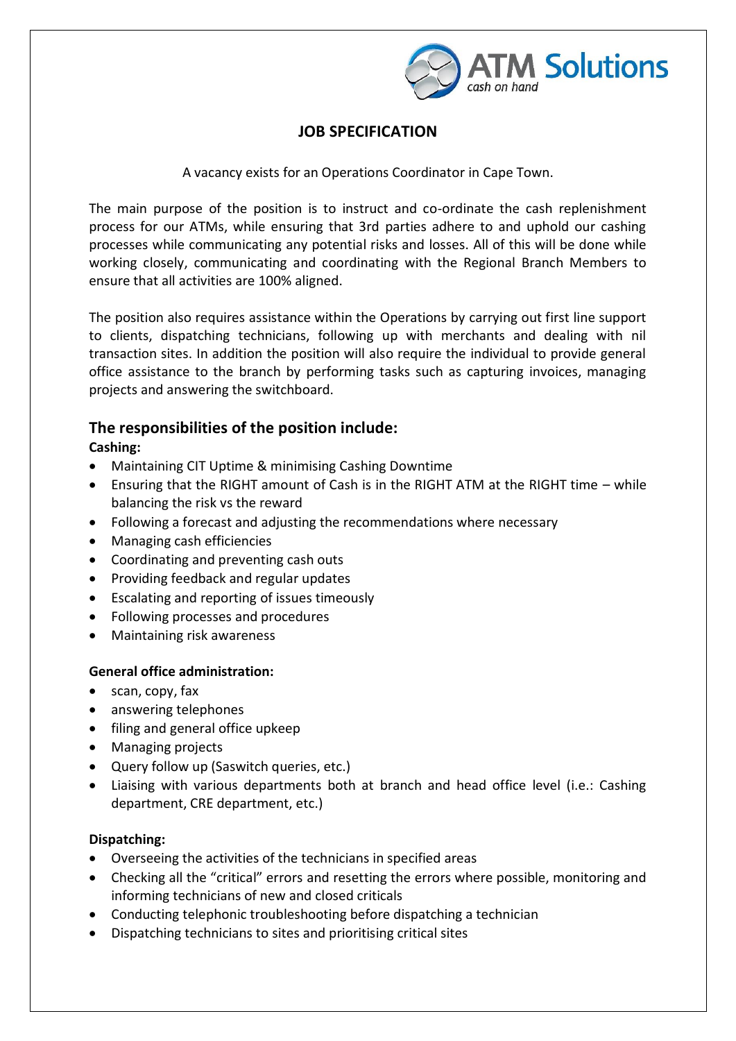

# **JOB SPECIFICATION**

A vacancy exists for an Operations Coordinator in Cape Town.

The main purpose of the position is to instruct and co-ordinate the cash replenishment process for our ATMs, while ensuring that 3rd parties adhere to and uphold our cashing processes while communicating any potential risks and losses. All of this will be done while working closely, communicating and coordinating with the Regional Branch Members to ensure that all activities are 100% aligned.

The position also requires assistance within the Operations by carrying out first line support to clients, dispatching technicians, following up with merchants and dealing with nil transaction sites. In addition the position will also require the individual to provide general office assistance to the branch by performing tasks such as capturing invoices, managing projects and answering the switchboard.

### **The responsibilities of the position include:**

### **Cashing:**

- Maintaining CIT Uptime & minimising Cashing Downtime
- Ensuring that the RIGHT amount of Cash is in the RIGHT ATM at the RIGHT time while balancing the risk vs the reward
- Following a forecast and adjusting the recommendations where necessary
- Managing cash efficiencies
- Coordinating and preventing cash outs
- Providing feedback and regular updates
- Escalating and reporting of issues timeously
- Following processes and procedures
- Maintaining risk awareness

#### **General office administration:**

- scan, copy, fax
- answering telephones
- filing and general office upkeep
- Managing projects
- Query follow up (Saswitch queries, etc.)
- Liaising with various departments both at branch and head office level (i.e.: Cashing department, CRE department, etc.)

#### **Dispatching:**

- Overseeing the activities of the technicians in specified areas
- Checking all the "critical" errors and resetting the errors where possible, monitoring and informing technicians of new and closed criticals
- Conducting telephonic troubleshooting before dispatching a technician
- Dispatching technicians to sites and prioritising critical sites